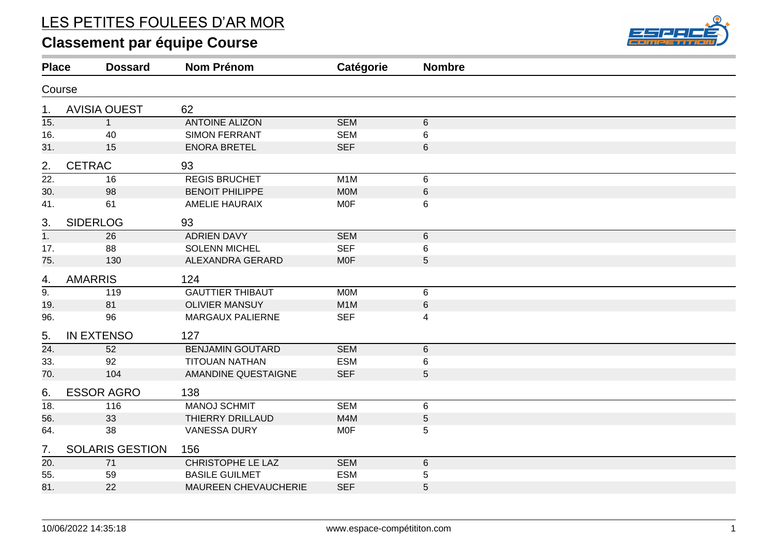# LES PETITES FOULEES D'AR MOR

# **Classement par équipe Course**



| <b>Place</b>      | <b>Dossard</b>         | <b>Nom Prénom</b>       | Catégorie        | <b>Nombre</b>  |  |
|-------------------|------------------------|-------------------------|------------------|----------------|--|
| Course            |                        |                         |                  |                |  |
| 1.                | <b>AVISIA OUEST</b>    | 62                      |                  |                |  |
| 15.               | $\mathbf{1}$           | <b>ANTOINE ALIZON</b>   | <b>SEM</b>       | $6\phantom{1}$ |  |
| 16.               | 40                     | <b>SIMON FERRANT</b>    | <b>SEM</b>       | 6              |  |
| 31.               | 15                     | <b>ENORA BRETEL</b>     | <b>SEF</b>       | 6              |  |
| 2.                | <b>CETRAC</b>          | 93                      |                  |                |  |
| 22.               | 16                     | <b>REGIS BRUCHET</b>    | M <sub>1</sub> M | 6              |  |
| 30.               | 98                     | <b>BENOIT PHILIPPE</b>  | <b>MOM</b>       | $\,6\,$        |  |
| 41.               | 61                     | <b>AMELIE HAURAIX</b>   | <b>MOF</b>       | 6              |  |
| 3.                | <b>SIDERLOG</b>        | 93                      |                  |                |  |
| $\overline{1}$ .  | 26                     | <b>ADRIEN DAVY</b>      | <b>SEM</b>       | $\,6\,$        |  |
| 17.               | 88                     | <b>SOLENN MICHEL</b>    | <b>SEF</b>       | 6              |  |
| 75.               | 130                    | ALEXANDRA GERARD        | <b>MOF</b>       | 5              |  |
| 4.                | <b>AMARRIS</b>         | 124                     |                  |                |  |
| $\overline{9}$ .  | 119                    | <b>GAUTTIER THIBAUT</b> | <b>MOM</b>       | $\,6$          |  |
| 19.               | 81                     | <b>OLIVIER MANSUY</b>   | M <sub>1</sub> M | $\,6\,$        |  |
| 96.               | 96                     | MARGAUX PALIERNE        | <b>SEF</b>       | 4              |  |
| 5.                | <b>IN EXTENSO</b>      | 127                     |                  |                |  |
| $\overline{24}$ . | 52                     | <b>BENJAMIN GOUTARD</b> | <b>SEM</b>       | $\,6\,$        |  |
| 33.               | 92                     | <b>TITOUAN NATHAN</b>   | <b>ESM</b>       | 6              |  |
| 70.               | 104                    | AMANDINE QUESTAIGNE     | <b>SEF</b>       | 5              |  |
| 6.                | <b>ESSOR AGRO</b>      | 138                     |                  |                |  |
| $\overline{18}$ . | 116                    | <b>MANOJ SCHMIT</b>     | <b>SEM</b>       | 6              |  |
| 56.               | 33                     | <b>THIERRY DRILLAUD</b> | M4M              | $\sqrt{5}$     |  |
| 64.               | 38                     | <b>VANESSA DURY</b>     | <b>MOF</b>       | 5              |  |
| 7.                | <b>SOLARIS GESTION</b> | 156                     |                  |                |  |
| 20.               | 71                     | CHRISTOPHE LE LAZ       | <b>SEM</b>       | $\,6\,$        |  |
| 55.               | 59                     | <b>BASILE GUILMET</b>   | <b>ESM</b>       | 5              |  |
| 81.               | 22                     | MAUREEN CHEVAUCHERIE    | <b>SEF</b>       | 5              |  |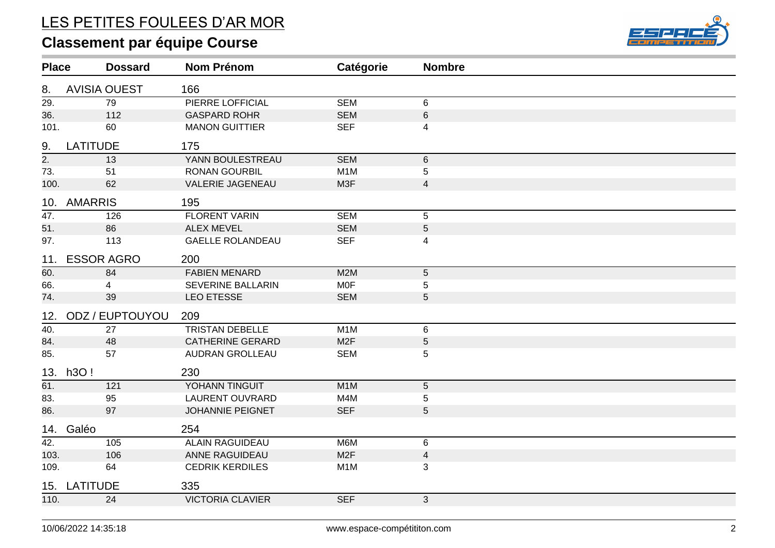# LES PETITES FOULEES D'AR MOR

# **Classement par équipe Course**



| <b>Place</b>      | <b>Dossard</b>      | <b>Nom Prénom</b>        | Catégorie        | <b>Nombre</b>           |  |
|-------------------|---------------------|--------------------------|------------------|-------------------------|--|
| 8.                | <b>AVISIA OUEST</b> | 166                      |                  |                         |  |
| $\overline{29}$ . | 79                  | PIERRE LOFFICIAL         | <b>SEM</b>       | 6                       |  |
| 36.               | 112                 | <b>GASPARD ROHR</b>      | <b>SEM</b>       | $\,6\,$                 |  |
| 101.              | 60                  | <b>MANON GUITTIER</b>    | <b>SEF</b>       | $\overline{\mathbf{4}}$ |  |
| 9.                | <b>LATITUDE</b>     | 175                      |                  |                         |  |
| $\overline{2}$ .  | 13                  | YANN BOULESTREAU         | <b>SEM</b>       | $\,6\,$                 |  |
| 73.               | 51                  | <b>RONAN GOURBIL</b>     | M <sub>1</sub> M | $\sqrt{5}$              |  |
| 100.              | 62                  | <b>VALERIE JAGENEAU</b>  | M3F              | $\overline{\mathbf{4}}$ |  |
| 10.               | <b>AMARRIS</b>      | 195                      |                  |                         |  |
| $\overline{47}$ . | 126                 | <b>FLORENT VARIN</b>     | <b>SEM</b>       | $\sqrt{5}$              |  |
| 51.               | 86                  | <b>ALEX MEVEL</b>        | <b>SEM</b>       | $\sqrt{5}$              |  |
| 97.               | 113                 | <b>GAELLE ROLANDEAU</b>  | <b>SEF</b>       | 4                       |  |
| 11.               | <b>ESSOR AGRO</b>   | 200                      |                  |                         |  |
| 60.               | 84                  | <b>FABIEN MENARD</b>     | M2M              | $\overline{5}$          |  |
| 66.               | 4                   | <b>SEVERINE BALLARIN</b> | <b>MOF</b>       | $\sqrt{5}$              |  |
| 74.               | 39                  | <b>LEO ETESSE</b>        | <b>SEM</b>       | 5                       |  |
| 12.               | ODZ / EUPTOUYOU     | 209                      |                  |                         |  |
| $\overline{40}$ . | 27                  | <b>TRISTAN DEBELLE</b>   | M <sub>1</sub> M | 6                       |  |
| 84.               | 48                  | <b>CATHERINE GERARD</b>  | M <sub>2</sub> F | $\sqrt{5}$              |  |
| 85.               | 57                  | <b>AUDRAN GROLLEAU</b>   | <b>SEM</b>       | 5                       |  |
|                   | 13. h3O!            | 230                      |                  |                         |  |
| 61.               | 121                 | YOHANN TINGUIT           | M <sub>1</sub> M | $\sqrt{5}$              |  |
| 83.               | 95                  | <b>LAURENT OUVRARD</b>   | M4M              | $\sqrt{5}$              |  |
| 86.               | 97                  | <b>JOHANNIE PEIGNET</b>  | <b>SEF</b>       | 5                       |  |
| 14.               | Galéo               | 254                      |                  |                         |  |
| $\overline{42.}$  | 105                 | <b>ALAIN RAGUIDEAU</b>   | M6M              | 6                       |  |
| 103.              | 106                 | ANNE RAGUIDEAU           | M2F              | $\overline{\mathbf{4}}$ |  |
| 109.              | 64                  | <b>CEDRIK KERDILES</b>   | M <sub>1</sub> M | 3                       |  |
| 15.               | <b>LATITUDE</b>     | 335                      |                  |                         |  |
| 110.              | 24                  | <b>VICTORIA CLAVIER</b>  | <b>SEF</b>       | 3                       |  |